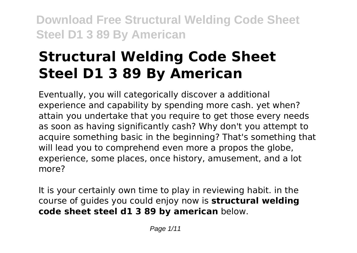# **Structural Welding Code Sheet Steel D1 3 89 By American**

Eventually, you will categorically discover a additional experience and capability by spending more cash. yet when? attain you undertake that you require to get those every needs as soon as having significantly cash? Why don't you attempt to acquire something basic in the beginning? That's something that will lead you to comprehend even more a propos the globe, experience, some places, once history, amusement, and a lot more?

It is your certainly own time to play in reviewing habit. in the course of guides you could enjoy now is **structural welding code sheet steel d1 3 89 by american** below.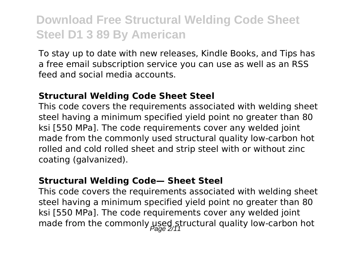To stay up to date with new releases, Kindle Books, and Tips has a free email subscription service you can use as well as an RSS feed and social media accounts.

#### **Structural Welding Code Sheet Steel**

This code covers the requirements associated with welding sheet steel having a minimum specified yield point no greater than 80 ksi [550 MPa]. The code requirements cover any welded joint made from the commonly used structural quality low-carbon hot rolled and cold rolled sheet and strip steel with or without zinc coating (galvanized).

#### **Structural Welding Code— Sheet Steel**

This code covers the requirements associated with welding sheet steel having a minimum specified yield point no greater than 80 ksi [550 MPa]. The code requirements cover any welded joint made from the commonly used structural quality low-carbon hot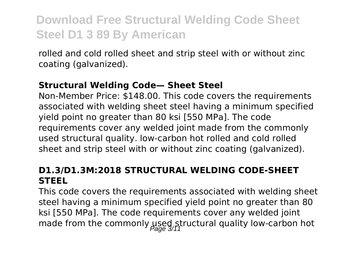rolled and cold rolled sheet and strip steel with or without zinc coating (galvanized).

#### **Structural Welding Code— Sheet Steel**

Non-Member Price: \$148.00. This code covers the requirements associated with welding sheet steel having a minimum specified yield point no greater than 80 ksi [550 MPa]. The code requirements cover any welded joint made from the commonly used structural quality. low-carbon hot rolled and cold rolled sheet and strip steel with or without zinc coating (galvanized).

### **D1.3/D1.3M:2018 STRUCTURAL WELDING CODE-SHEET STEEL**

This code covers the requirements associated with welding sheet steel having a minimum specified yield point no greater than 80 ksi [550 MPa]. The code requirements cover any welded joint made from the commonly used structural quality low-carbon hot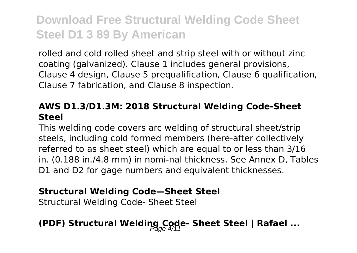rolled and cold rolled sheet and strip steel with or without zinc coating (galvanized). Clause 1 includes general provisions, Clause 4 design, Clause 5 prequalification, Clause 6 qualification, Clause 7 fabrication, and Clause 8 inspection.

#### **AWS D1.3/D1.3M: 2018 Structural Welding Code-Sheet Steel**

This welding code covers arc welding of structural sheet/strip steels, including cold formed members (here-after collectively referred to as sheet steel) which are equal to or less than 3/16 in. (0.188 in./4.8 mm) in nomi-nal thickness. See Annex D, Tables D1 and D2 for gage numbers and equivalent thicknesses.

#### **Structural Welding Code—Sheet Steel**

Structural Welding Code- Sheet Steel

# **(PDF) Structural Welding Code- Sheet Steel | Rafael ...**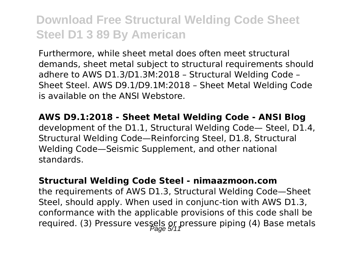Furthermore, while sheet metal does often meet structural demands, sheet metal subject to structural requirements should adhere to AWS D1.3/D1.3M:2018 – Structural Welding Code – Sheet Steel. AWS D9.1/D9.1M:2018 – Sheet Metal Welding Code is available on the ANSI Webstore.

**AWS D9.1:2018 - Sheet Metal Welding Code - ANSI Blog** development of the D1.1, Structural Welding Code— Steel, D1.4, Structural Welding Code—Reinforcing Steel, D1.8, Structural Welding Code—Seismic Supplement, and other national standards.

#### **Structural Welding Code Steel - nimaazmoon.com**

the requirements of AWS D1.3, Structural Welding Code—Sheet Steel, should apply. When used in conjunc-tion with AWS D1.3, conformance with the applicable provisions of this code shall be required. (3) Pressure vessels or pressure piping (4) Base metals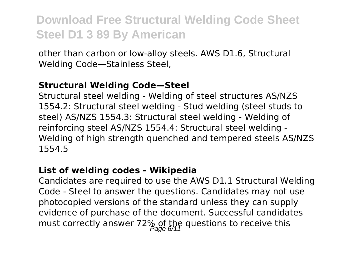other than carbon or low-alloy steels. AWS D1.6, Structural Welding Code—Stainless Steel,

#### **Structural Welding Code—Steel**

Structural steel welding - Welding of steel structures AS/NZS 1554.2: Structural steel welding - Stud welding (steel studs to steel) AS/NZS 1554.3: Structural steel welding - Welding of reinforcing steel AS/NZS 1554.4: Structural steel welding - Welding of high strength quenched and tempered steels AS/NZS 1554.5

#### **List of welding codes - Wikipedia**

Candidates are required to use the AWS D1.1 Structural Welding Code - Steel to answer the questions. Candidates may not use photocopied versions of the standard unless they can supply evidence of purchase of the document. Successful candidates must correctly answer 72% of the questions to receive this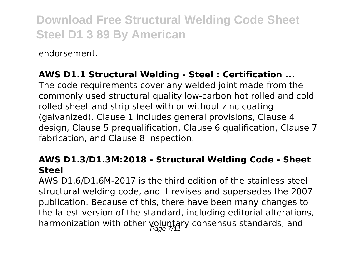endorsement.

### **AWS D1.1 Structural Welding - Steel : Certification ...**

The code requirements cover any welded joint made from the commonly used structural quality low-carbon hot rolled and cold rolled sheet and strip steel with or without zinc coating (galvanized). Clause 1 includes general provisions, Clause 4 design, Clause 5 prequalification, Clause 6 qualification, Clause 7 fabrication, and Clause 8 inspection.

#### **AWS D1.3/D1.3M:2018 - Structural Welding Code - Sheet Steel**

AWS D1.6/D1.6M-2017 is the third edition of the stainless steel structural welding code, and it revises and supersedes the 2007 publication. Because of this, there have been many changes to the latest version of the standard, including editorial alterations, harmonization with other voluntary consensus standards, and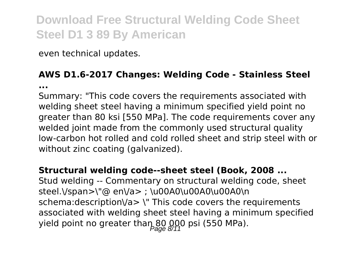even technical updates.

#### **AWS D1.6-2017 Changes: Welding Code - Stainless Steel ...**

Summary: "This code covers the requirements associated with welding sheet steel having a minimum specified yield point no greater than 80 ksi [550 MPa]. The code requirements cover any welded joint made from the commonly used structural quality low-carbon hot rolled and cold rolled sheet and strip steel with or without zinc coating (galvanized).

#### **Structural welding code--sheet steel (Book, 2008 ...**

Stud welding -- Commentary on structural welding code, sheet steel.\/span>\"@ en\/a> ; \u00A0\u00A0\u00A0\n schema:description\/a> \" This code covers the requirements associated with welding sheet steel having a minimum specified yield point no greater than  $80.000$  psi (550 MPa).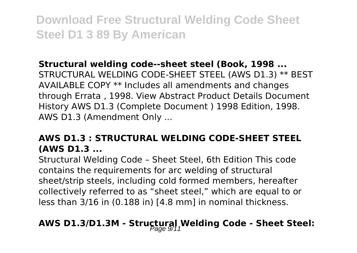#### **Structural welding code--sheet steel (Book, 1998 ...**

STRUCTURAL WELDING CODE-SHEET STEEL (AWS D1.3) \*\* BEST AVAILABLE COPY \*\* Includes all amendments and changes through Errata , 1998. View Abstract Product Details Document History AWS D1.3 (Complete Document ) 1998 Edition, 1998. AWS D1.3 (Amendment Only ...

### **AWS D1.3 : STRUCTURAL WELDING CODE-SHEET STEEL (AWS D1.3 ...**

Structural Welding Code – Sheet Steel, 6th Edition This code contains the requirements for arc welding of structural sheet/strip steels, including cold formed members, hereafter collectively referred to as "sheet steel," which are equal to or less than 3/16 in (0.188 in) [4.8 mm] in nominal thickness.

# AWS D1.3/D1.3M - Structural Welding Code - Sheet Steel: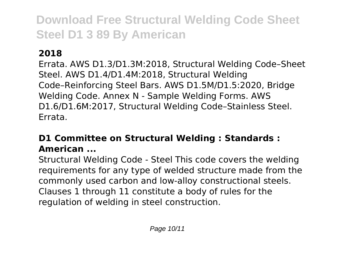### **2018**

Errata. AWS D1.3/D1.3M:2018, Structural Welding Code–Sheet Steel. AWS D1.4/D1.4M:2018, Structural Welding Code–Reinforcing Steel Bars. AWS D1.5M/D1.5:2020, Bridge Welding Code. Annex N - Sample Welding Forms. AWS D1.6/D1.6M:2017, Structural Welding Code–Stainless Steel. Errata.

### **D1 Committee on Structural Welding : Standards : American ...**

Structural Welding Code - Steel This code covers the welding requirements for any type of welded structure made from the commonly used carbon and low-alloy constructional steels. Clauses 1 through 11 constitute a body of rules for the regulation of welding in steel construction.